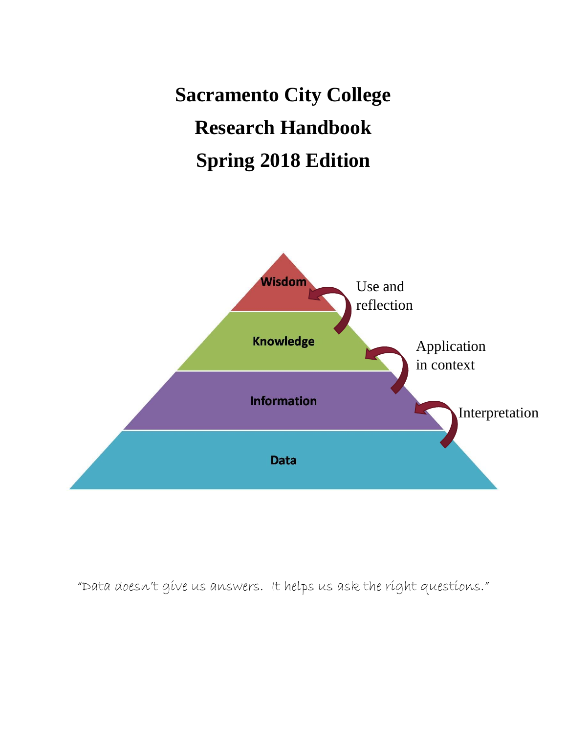**Sacramento City College Research Handbook Spring 2018 Edition**



"Data doesn't give us answers. It helps us ask the right questions."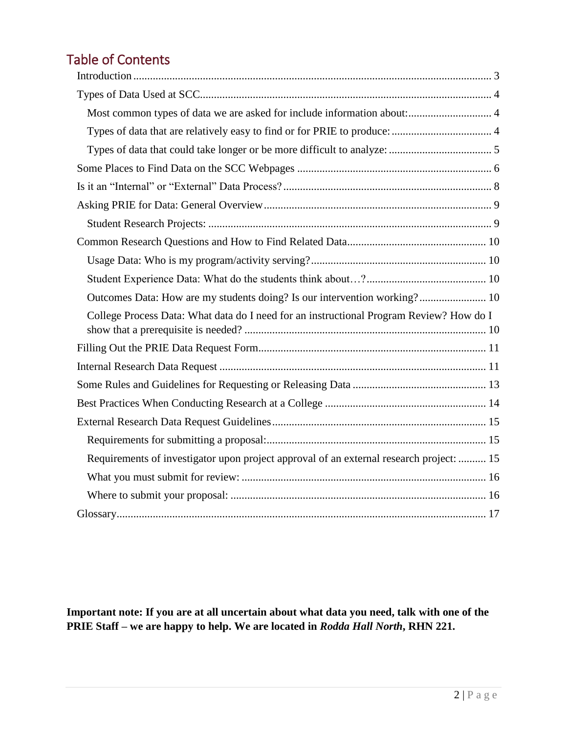# Table of Contents

| Outcomes Data: How are my students doing? Is our intervention working? 10               |  |
|-----------------------------------------------------------------------------------------|--|
| College Process Data: What data do I need for an instructional Program Review? How do I |  |
|                                                                                         |  |
|                                                                                         |  |
|                                                                                         |  |
|                                                                                         |  |
|                                                                                         |  |
|                                                                                         |  |
| Requirements of investigator upon project approval of an external research project:  15 |  |
|                                                                                         |  |
|                                                                                         |  |
|                                                                                         |  |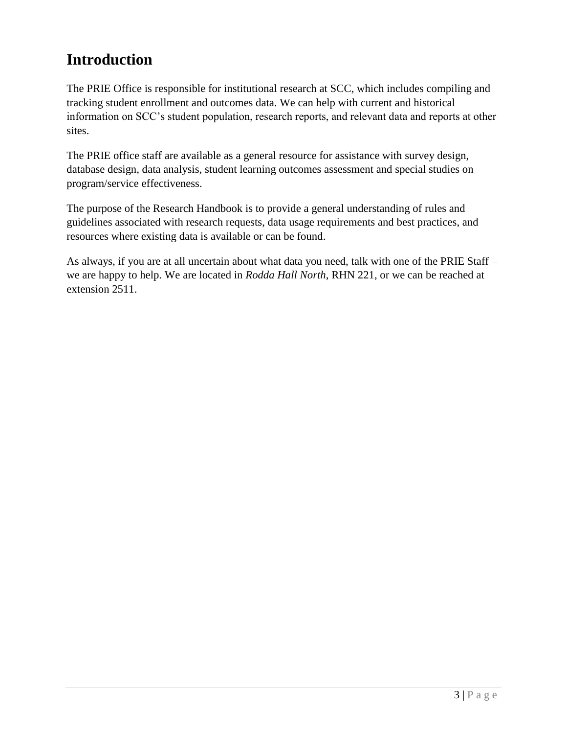### <span id="page-2-0"></span>**Introduction**

The PRIE Office is responsible for institutional research at SCC, which includes compiling and tracking student enrollment and outcomes data. We can help with current and historical information on SCC's student population, research reports, and relevant data and reports at other sites.

The PRIE office staff are available as a general resource for assistance with survey design, database design, data analysis, student learning outcomes assessment and special studies on program/service effectiveness.

The purpose of the Research Handbook is to provide a general understanding of rules and guidelines associated with research requests, data usage requirements and best practices, and resources where existing data is available or can be found.

As always, if you are at all uncertain about what data you need, talk with one of the PRIE Staff – we are happy to help. We are located in *Rodda Hall North*, RHN 221, or we can be reached at extension 2511.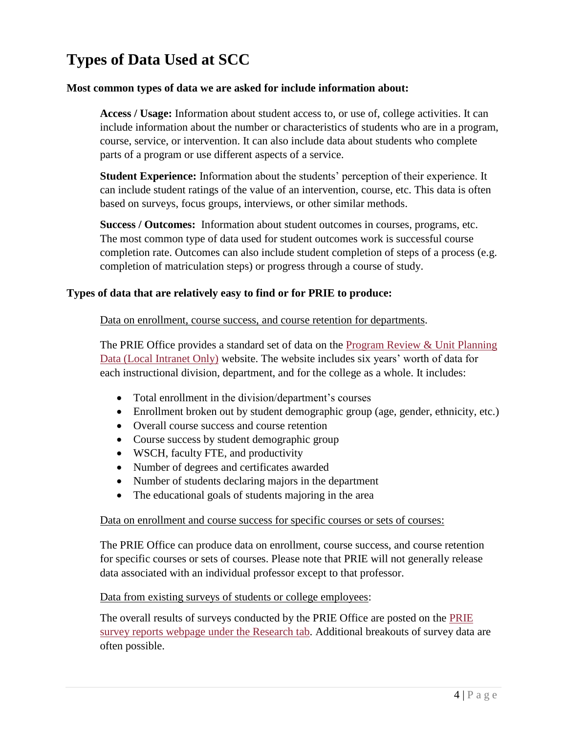# <span id="page-3-0"></span>**Types of Data Used at SCC**

#### <span id="page-3-1"></span>**Most common types of data we are asked for include information about:**

**Access / Usage:** Information about student access to, or use of, college activities. It can include information about the number or characteristics of students who are in a program, course, service, or intervention. It can also include data about students who complete parts of a program or use different aspects of a service.

**Student Experience:** Information about the students' perception of their experience. It can include student ratings of the value of an intervention, course, etc. This data is often based on surveys, focus groups, interviews, or other similar methods.

**Success / Outcomes:** Information about student outcomes in courses, programs, etc. The most common type of data used for student outcomes work is successful course completion rate. Outcomes can also include student completion of steps of a process (e.g. completion of matriculation steps) or progress through a course of study.

#### <span id="page-3-2"></span>**Types of data that are relatively easy to find or for PRIE to produce:**

#### Data on enrollment, course success, and course retention for departments.

The PRIE Office provides a standard set of data on the Program Review & Unit [Planning](http://scc-prieweb.scc.losrios.edu/planning/) Data (Local [Intranet](http://scc-prieweb.scc.losrios.edu/planning/) Only) website. The website includes six years' worth of data for each instructional division, department, and for the college as a whole. It includes:

- Total enrollment in the division/department's courses
- Enrollment broken out by student demographic group (age, gender, ethnicity, etc.)
- Overall course success and course retention
- Course success by student demographic group
- WSCH, faculty FTE, and productivity
- Number of degrees and certificates awarded
- Number of students declaring majors in the department
- The educational goals of students majoring in the area

#### Data on enrollment and course success for specific courses or sets of courses:

The PRIE Office can produce data on enrollment, course success, and course retention for specific courses or sets of courses. Please note that PRIE will not generally release data associated with an individual professor except to that professor.

Data from existing surveys of students or college employees:

The overall results of surveys conducted by the PRIE Office are posted on the [PRIE](http://www.scc.losrios.edu/prie/research/college-planning-and-data-reports/scc-survey-reports/)  [survey reports webpage](http://www.scc.losrios.edu/prie/research/college-planning-and-data-reports/scc-survey-reports/) under the Research tab. Additional breakouts of survey data are often possible.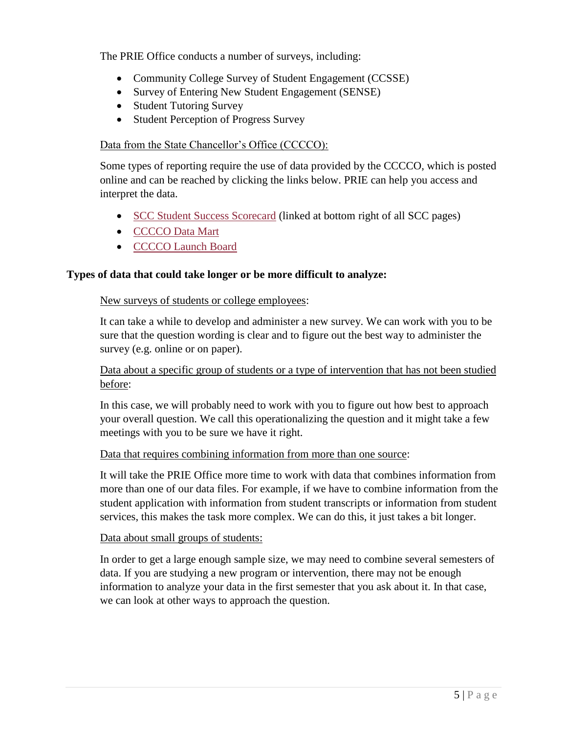The PRIE Office conducts a number of surveys, including:

- Community College Survey of Student Engagement (CCSSE)
- Survey of Entering New Student Engagement (SENSE)
- Student Tutoring Survey
- Student Perception of Progress Survey

#### Data from the State Chancellor's Office (CCCCO):

Some types of reporting require the use of data provided by the CCCCO, which is posted online and can be reached by clicking the links below. PRIE can help you access and interpret the data.

- [SCC Student Success Scorecard](http://scorecard.cccco.edu/scorecardrates.aspx?CollegeID=233) (linked at bottom right of all SCC pages)
- [CCCCO Data Mart](http://datamart.cccco.edu/DataMart.aspx)
- CCCCO Launch Board

#### <span id="page-4-0"></span>**Types of data that could take longer or be more difficult to analyze:**

#### New surveys of students or college employees:

It can take a while to develop and administer a new survey. We can work with you to be sure that the question wording is clear and to figure out the best way to administer the survey (e.g. online or on paper).

#### Data about a specific group of students or a type of intervention that has not been studied before:

In this case, we will probably need to work with you to figure out how best to approach your overall question. We call this operationalizing the question and it might take a few meetings with you to be sure we have it right.

#### Data that requires combining information from more than one source:

It will take the PRIE Office more time to work with data that combines information from more than one of our data files. For example, if we have to combine information from the student application with information from student transcripts or information from student services, this makes the task more complex. We can do this, it just takes a bit longer.

#### Data about small groups of students:

In order to get a large enough sample size, we may need to combine several semesters of data. If you are studying a new program or intervention, there may not be enough information to analyze your data in the first semester that you ask about it. In that case, we can look at other ways to approach the question.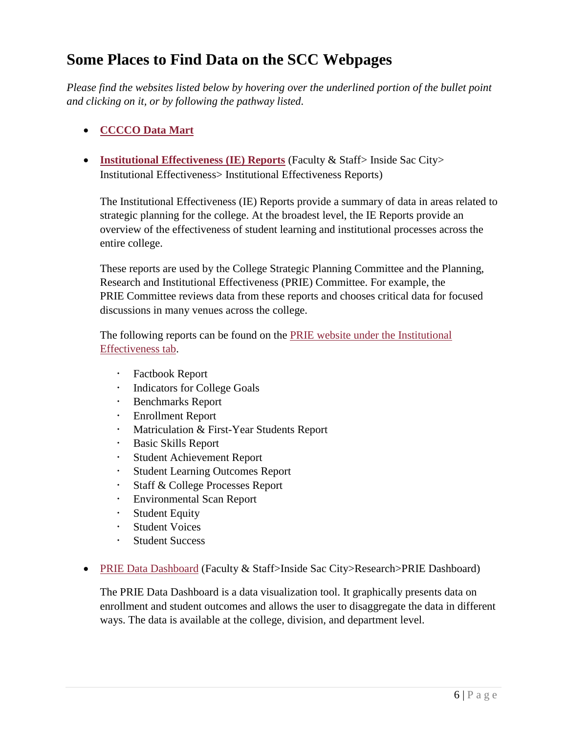### <span id="page-5-0"></span>**Some Places to Find Data on the SCC Webpages**

*Please find the websites listed below by hovering over the underlined portion of the bullet point and clicking on it, or by following the pathway listed.* 

### **[CCCCO Data Mart](http://datamart.cccco.edu/DataMart.aspx)**

 **[Institutional Effectiveness \(IE\) Reports](http://www.scc.losrios.edu/prie/institutional-effectiveness/institutional-effectiveness-reports-2/)** (Faculty & Staff> Inside Sac City> Institutional Effectiveness> Institutional Effectiveness Reports)

The Institutional Effectiveness (IE) Reports provide a summary of data in areas related to strategic planning for the college. At the broadest level, the IE Reports provide an overview of the effectiveness of student learning and institutional processes across the entire college.

These reports are used by the College Strategic Planning [Committee](http://www.scc.losrios.edu/prie/planning/college-strategic-planning-committee-cspc/) and the [Planning,](http://www.scc.losrios.edu/prie/institutional-effectiveness/governance/participatory-governance/standing-committees/prie/) Research and Institutional [Effectiveness](http://www.scc.losrios.edu/prie/institutional-effectiveness/governance/participatory-governance/standing-committees/prie/) (PRIE) Committee. For example, the PRIE Committee reviews data from these reports and chooses critical data for focused discussions in many venues across the college.

The following reports can be found on the PRIE website [under the Institutional](http://www.scc.losrios.edu/prie/institutional-effectiveness/institutional-effectiveness-reports-2/)  [Effectiveness tab.](http://www.scc.losrios.edu/prie/institutional-effectiveness/institutional-effectiveness-reports-2/)

- [Factbook](http://dms.scc.losrios.edu/alfresco/d/d/workspace/SpacesStore/2df5fa7b-3a88-4b3e-b489-c227778b176e/1-%20Factbook%202016%20(F15%20data)%20FINAL.pdf) Report
- **·** [Indicators](http://dms.scc.losrios.edu/alfresco/d/d/workspace/SpacesStore/885d3fc0-0760-44b3-9fba-e2e0cfb78851/2-%20Indicators%20for%20college%20goals%202016%20FINAL.pdf) for College Goals
- [Benchmarks](http://dms.scc.losrios.edu/alfresco/d/d/workspace/SpacesStore/fa9f37f6-a9ef-4326-aedc-dfe12d0f7a6f/3-%20Benchmarks%20Report%202016%20FINAL.pdf) Report
- [Enrollment](http://dms.scc.losrios.edu/alfresco/d/d/workspace/SpacesStore/de498a58-c8fb-447e-b751-7829dd3c99ea/4-%20Enrollment%20Report%202016%20FINAL.pdf) Report
- [Matriculation](http://dms.scc.losrios.edu/alfresco/d/d/workspace/SpacesStore/1e5c76c0-96fb-4080-9bd0-d8f72a616039/5-%20Matriculation%20First-Year%20Student%20Report%202016%20FINAL.pdf) & First-Year Students Report
- Basic Skills [Report](http://dms.scc.losrios.edu/alfresco/d/d/workspace/SpacesStore/985406b4-4e8e-431c-b82d-e7ea25424622/6-%20Basic%20Skills%20Report%202016%20FINAL.pdf)
- Student [Achievement](http://dms.scc.losrios.edu/alfresco/d/d/workspace/SpacesStore/07ff38f7-f53e-49b5-9000-5b89e9f3e8a5/7-%20Student%20Achievement%20Report%202016%20FINAL.pdf) Report
- Student Learning [Outcomes](http://dms.scc.losrios.edu/alfresco/d/d/workspace/SpacesStore/d85559ce-ced3-4319-977f-d8af117a777a/8-%20Student%20Learning%20Outcomes%20Report%202016%20FINAL.pdf) Report
- Staff & College [Processes](http://dms.scc.losrios.edu/alfresco/d/d/workspace/SpacesStore/d8653eed-8a07-4063-b7f4-16be8b1657d4/9-%20Staff%20and%20College%20Processes%20Report%202016%20FINAL.pdf) Report
- [Environmental](http://dms.scc.losrios.edu/alfresco/d/d/workspace/SpacesStore/f764ae86-f2b9-4b2f-98d3-d4095cb8089f/10-%20Environmental%20Scan%20Report%202016%20FINAL.pdf) Scan Report
- **[Student](http://dms.scc.losrios.edu/alfresco/d/d/workspace/SpacesStore/24f7a0d8-49ac-418c-854f-a2b91a502d52/11-%20Student%20Equity%20Plan%20Data%202016%20FINAL.pdf) Equity**
- [Student](http://dms.scc.losrios.edu/alfresco/d/d/workspace/SpacesStore/3051322b-970d-45e9-98d8-9602d72e8b96/12-%20Student%20Voices%20Report%202016%20FINAL.pdf) Voices
- Student [Success](http://dms.scc.losrios.edu/alfresco/d/d/workspace/SpacesStore/442c2d38-5d81-4151-87eb-6afc58757944/13%20-%20Student%20Success%20and%20Achievement%202016%20FINAL.pdf)
- [PRIE Data Dashboard](https://www.scc.losrios.edu/prie/research/scc-dashboard/) (Faculty & Staff>Inside Sac City>Research>PRIE Dashboard)

The PRIE Data Dashboard is a data visualization tool. It graphically presents data on enrollment and student outcomes and allows the user to disaggregate the data in different ways. The data is available at the college, division, and department level.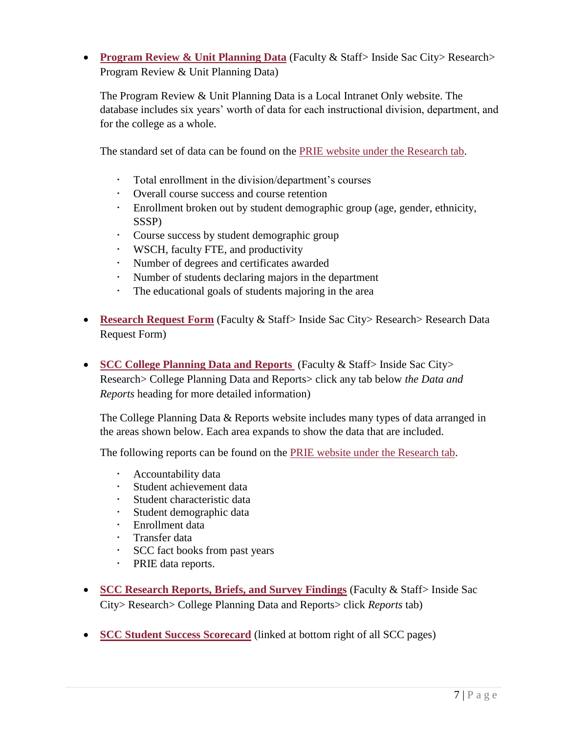**[Program Review & Unit Planning Data](http://www.scc.losrios.edu/prie/research/program-review-unit-planning-data/)** (Faculty & Staff> Inside Sac City> Research> Program Review & Unit Planning Data)

The Program Review & Unit Planning Data is a Local Intranet Only website. The database includes six years' worth of data for each instructional division, department, and for the college as a whole.

The standard set of data can be found on the [PRIE website under the Research tab.](https://www.scc.losrios.edu/prie/research/college-planning-and-data-reports/)

- Total enrollment in the division/department's courses
- Overall course success and course retention
- Enrollment broken out by student demographic group (age, gender, ethnicity, SSSP)
- Course success by student demographic group
- WSCH, faculty FTE, and productivity
- Number of degrees and certificates awarded
- Number of students declaring majors in the department
- The educational goals of students majoring in the area
- **[Research Request Form](http://www.scc.losrios.edu/prie/research/research-request/)** (Faculty & Staff> Inside Sac City> Research> Research Data Request Form)
- **[SCC College Planning Data and Reports](http://www.scc.losrios.edu/prie/research/college-planning-and-data-reports/)** (Faculty & Staff> Inside Sac City> Research> College Planning Data and Reports> click any tab below *the Data and Reports* heading for more detailed information)

The College Planning Data & Reports website includes many types of data arranged in the areas shown below. Each area expands to show the data that are included.

The following reports can be found on the [PRIE website under the Research tab.](http://www.scc.losrios.edu/prie/research/college-planning-and-data-reports/)

- Accountability data
- Student achievement data
- Student characteristic data
- Student demographic data
- Enrollment data
- Transfer data
- SCC fact books from past years
- PRIE data reports.
- **[SCC Research Reports, Briefs, and Survey Findings](http://www.scc.losrios.edu/prie/research/college-planning-and-data-reports/)** (Faculty & Staff> Inside Sac City> Research> College Planning Data and Reports> click *Reports* tab)
- **[SCC Student Success Scorecard](http://scorecard.cccco.edu/scorecardrates.aspx?CollegeID=233)** (linked at bottom right of all SCC pages)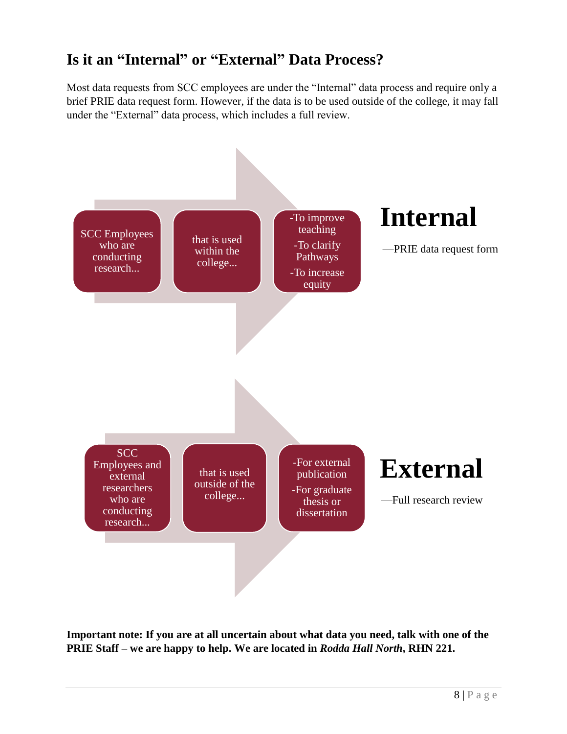### <span id="page-7-0"></span>**Is it an "Internal" or "External" Data Process?**

Most data requests from SCC employees are under the "Internal" data process and require only a brief PRIE data request form. However, if the data is to be used outside of the college, it may fall under the "External" data process, which includes a full review.

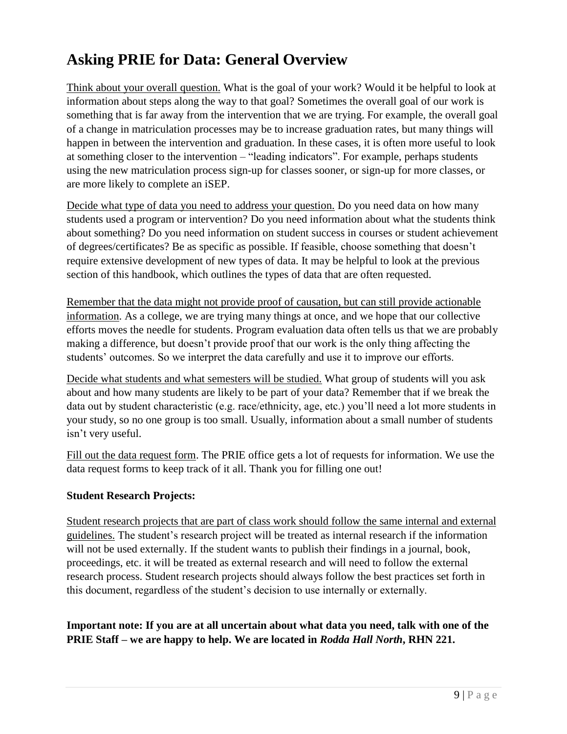# <span id="page-8-0"></span>**Asking PRIE for Data: General Overview**

Think about your overall question. What is the goal of your work? Would it be helpful to look at information about steps along the way to that goal? Sometimes the overall goal of our work is something that is far away from the intervention that we are trying. For example, the overall goal of a change in matriculation processes may be to increase graduation rates, but many things will happen in between the intervention and graduation. In these cases, it is often more useful to look at something closer to the intervention – "leading indicators". For example, perhaps students using the new matriculation process sign-up for classes sooner, or sign-up for more classes, or are more likely to complete an iSEP.

Decide what type of data you need to address your question. Do you need data on how many students used a program or intervention? Do you need information about what the students think about something? Do you need information on student success in courses or student achievement of degrees/certificates? Be as specific as possible. If feasible, choose something that doesn't require extensive development of new types of data. It may be helpful to look at the previous section of this handbook, which outlines the types of data that are often requested.

Remember that the data might not provide proof of causation, but can still provide actionable information. As a college, we are trying many things at once, and we hope that our collective efforts moves the needle for students. Program evaluation data often tells us that we are probably making a difference, but doesn't provide proof that our work is the only thing affecting the students' outcomes. So we interpret the data carefully and use it to improve our efforts.

Decide what students and what semesters will be studied. What group of students will you ask about and how many students are likely to be part of your data? Remember that if we break the data out by student characteristic (e.g. race/ethnicity, age, etc.) you'll need a lot more students in your study, so no one group is too small. Usually, information about a small number of students isn't very useful.

Fill out the data request form. The PRIE office gets a lot of requests for information. We use the data request forms to keep track of it all. Thank you for filling one out!

#### <span id="page-8-1"></span>**Student Research Projects:**

Student research projects that are part of class work should follow the same internal and external guidelines. The student's research project will be treated as internal research if the information will not be used externally. If the student wants to publish their findings in a journal, book, proceedings, etc. it will be treated as external research and will need to follow the external research process. Student research projects should always follow the best practices set forth in this document, regardless of the student's decision to use internally or externally.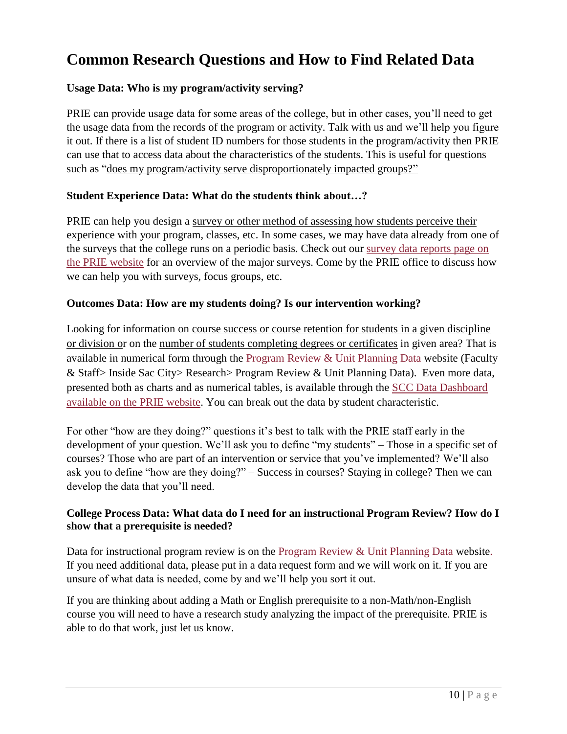### <span id="page-9-0"></span>**Common Research Questions and How to Find Related Data**

#### <span id="page-9-1"></span>**Usage Data: Who is my program/activity serving?**

PRIE can provide usage data for some areas of the college, but in other cases, you'll need to get the usage data from the records of the program or activity. Talk with us and we'll help you figure it out. If there is a list of student ID numbers for those students in the program/activity then PRIE can use that to access data about the characteristics of the students. This is useful for questions such as "does my program/activity serve disproportionately impacted groups?"

#### <span id="page-9-2"></span>**Student Experience Data: What do the students think about…?**

PRIE can help you design a survey or other method of assessing how students perceive their experience with your program, classes, etc. In some cases, we may have data already from one of the surveys that the college runs on a periodic basis. Check out our [survey data reports page on](https://www.scc.losrios.edu/prie/research/college-planning-and-data-reports/scc-survey-reports/)  [the PRIE website](https://www.scc.losrios.edu/prie/research/college-planning-and-data-reports/scc-survey-reports/) for an overview of the major surveys. Come by the PRIE office to discuss how we can help you with surveys, focus groups, etc.

#### <span id="page-9-3"></span>**Outcomes Data: How are my students doing? Is our intervention working?**

Looking for information on course success or course retention for students in a given discipline or division or on the number of students completing degrees or certificates in given area? That is available in numerical form through the [Program Review & Unit Planning Data](http://www.scc.losrios.edu/prie/research/program-review-unit-planning-data/) website (Faculty & Staff> Inside Sac City> Research> Program Review & Unit Planning Data). Even more data, presented both as charts and as numerical tables, is available through the [SCC Data Dashboard](https://www.scc.losrios.edu/prie/research/scc-dashboard/)  [available on the PRIE website.](https://www.scc.losrios.edu/prie/research/scc-dashboard/) You can break out the data by student characteristic.

For other "how are they doing?" questions it's best to talk with the PRIE staff early in the development of your question. We'll ask you to define "my students" – Those in a specific set of courses? Those who are part of an intervention or service that you've implemented? We'll also ask you to define "how are they doing?" – Success in courses? Staying in college? Then we can develop the data that you'll need.

#### <span id="page-9-4"></span>**College Process Data: What data do I need for an instructional Program Review? How do I show that a prerequisite is needed?**

Data for instructional program review is on the [Program Review & Unit Planning Data](http://www.scc.losrios.edu/prie/research/program-review-unit-planning-data/) website. If you need additional data, please put in a data request form and we will work on it. If you are unsure of what data is needed, come by and we'll help you sort it out.

If you are thinking about adding a Math or English prerequisite to a non-Math/non-English course you will need to have a research study analyzing the impact of the prerequisite. PRIE is able to do that work, just let us know.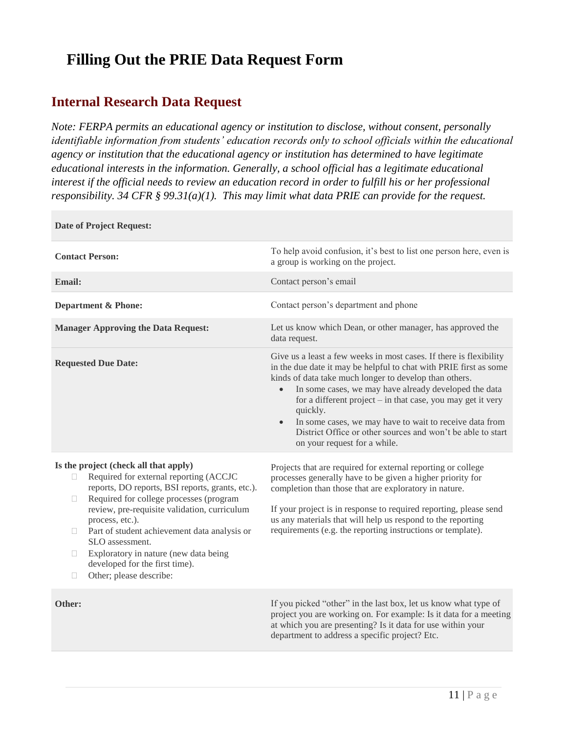### <span id="page-10-0"></span>**Filling Out the PRIE Data Request Form**

### <span id="page-10-1"></span>**Internal Research Data Request**

**Date of Project Request:**

*Note: FERPA permits an educational agency or institution to disclose, without consent, personally identifiable information from students' education records only to school officials within the educational agency or institution that the educational agency or institution has determined to have legitimate educational interests in the information. Generally, a school official has a legitimate educational interest if the official needs to review an education record in order to fulfill his or her professional responsibility. 34 CFR § 99.31(a)(1). This may limit what data PRIE can provide for the request.*

| <b>Contact Person:</b>                                                                                                                                                                                                                                                                                                                                                                                                                                          | To help avoid confusion, it's best to list one person here, even is<br>a group is working on the project.                                                                                                                                                                                                                                                                                                                                                                                                    |
|-----------------------------------------------------------------------------------------------------------------------------------------------------------------------------------------------------------------------------------------------------------------------------------------------------------------------------------------------------------------------------------------------------------------------------------------------------------------|--------------------------------------------------------------------------------------------------------------------------------------------------------------------------------------------------------------------------------------------------------------------------------------------------------------------------------------------------------------------------------------------------------------------------------------------------------------------------------------------------------------|
| <b>Email:</b>                                                                                                                                                                                                                                                                                                                                                                                                                                                   | Contact person's email                                                                                                                                                                                                                                                                                                                                                                                                                                                                                       |
| <b>Department &amp; Phone:</b>                                                                                                                                                                                                                                                                                                                                                                                                                                  | Contact person's department and phone                                                                                                                                                                                                                                                                                                                                                                                                                                                                        |
| <b>Manager Approving the Data Request:</b>                                                                                                                                                                                                                                                                                                                                                                                                                      | Let us know which Dean, or other manager, has approved the<br>data request.                                                                                                                                                                                                                                                                                                                                                                                                                                  |
| <b>Requested Due Date:</b>                                                                                                                                                                                                                                                                                                                                                                                                                                      | Give us a least a few weeks in most cases. If there is flexibility<br>in the due date it may be helpful to chat with PRIE first as some<br>kinds of data take much longer to develop than others.<br>In some cases, we may have already developed the data<br>$\bullet$<br>for a different project – in that case, you may get it very<br>quickly.<br>In some cases, we may have to wait to receive data from<br>District Office or other sources and won't be able to start<br>on your request for a while. |
| Is the project (check all that apply)<br>Required for external reporting (ACCJC<br>П.<br>reports, DO reports, BSI reports, grants, etc.).<br>Required for college processes (program<br>O.<br>review, pre-requisite validation, curriculum<br>process, etc.).<br>Part of student achievement data analysis or<br>$\Box$<br>SLO assessment.<br>Exploratory in nature (new data being<br>$\Box$<br>developed for the first time).<br>Other; please describe:<br>П | Projects that are required for external reporting or college<br>processes generally have to be given a higher priority for<br>completion than those that are exploratory in nature.<br>If your project is in response to required reporting, please send<br>us any materials that will help us respond to the reporting<br>requirements (e.g. the reporting instructions or template).                                                                                                                       |
| Other:                                                                                                                                                                                                                                                                                                                                                                                                                                                          | If you picked "other" in the last box, let us know what type of<br>project you are working on. For example: Is it data for a meeting<br>at which you are presenting? Is it data for use within your<br>department to address a specific project? Etc.                                                                                                                                                                                                                                                        |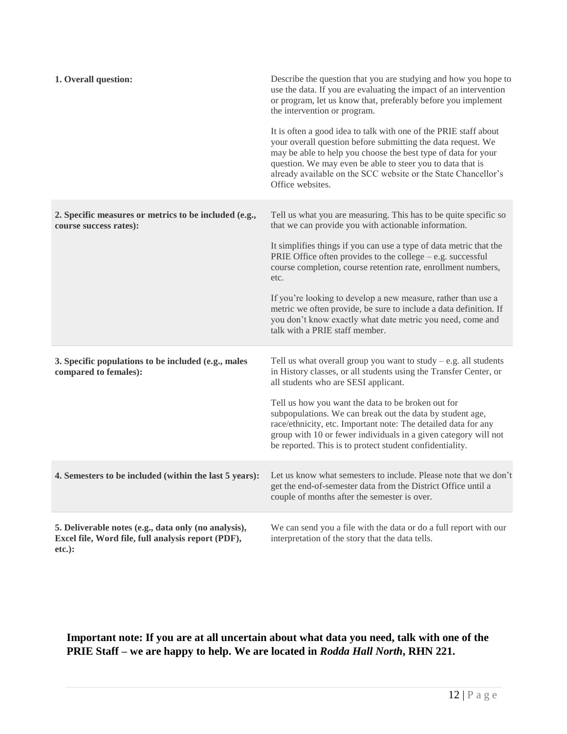| 1. Overall question:                                                                                                   | Describe the question that you are studying and how you hope to<br>use the data. If you are evaluating the impact of an intervention<br>or program, let us know that, preferably before you implement<br>the intervention or program.<br>It is often a good idea to talk with one of the PRIE staff about<br>your overall question before submitting the data request. We<br>may be able to help you choose the best type of data for your<br>question. We may even be able to steer you to data that is<br>already available on the SCC website or the State Chancellor's |
|------------------------------------------------------------------------------------------------------------------------|----------------------------------------------------------------------------------------------------------------------------------------------------------------------------------------------------------------------------------------------------------------------------------------------------------------------------------------------------------------------------------------------------------------------------------------------------------------------------------------------------------------------------------------------------------------------------|
|                                                                                                                        | Office websites.                                                                                                                                                                                                                                                                                                                                                                                                                                                                                                                                                           |
| 2. Specific measures or metrics to be included (e.g.,<br>course success rates):                                        | Tell us what you are measuring. This has to be quite specific so<br>that we can provide you with actionable information.                                                                                                                                                                                                                                                                                                                                                                                                                                                   |
|                                                                                                                        | It simplifies things if you can use a type of data metric that the<br>PRIE Office often provides to the college $-$ e.g. successful<br>course completion, course retention rate, enrollment numbers,<br>etc.                                                                                                                                                                                                                                                                                                                                                               |
|                                                                                                                        | If you're looking to develop a new measure, rather than use a<br>metric we often provide, be sure to include a data definition. If<br>you don't know exactly what date metric you need, come and<br>talk with a PRIE staff member.                                                                                                                                                                                                                                                                                                                                         |
| 3. Specific populations to be included (e.g., males<br>compared to females):                                           | Tell us what overall group you want to study $-$ e.g. all students<br>in History classes, or all students using the Transfer Center, or<br>all students who are SESI applicant.                                                                                                                                                                                                                                                                                                                                                                                            |
|                                                                                                                        | Tell us how you want the data to be broken out for<br>subpopulations. We can break out the data by student age,<br>race/ethnicity, etc. Important note: The detailed data for any<br>group with 10 or fewer individuals in a given category will not<br>be reported. This is to protect student confidentiality.                                                                                                                                                                                                                                                           |
| 4. Semesters to be included (within the last 5 years):                                                                 | Let us know what semesters to include. Please note that we don't<br>get the end-of-semester data from the District Office until a<br>couple of months after the semester is over.                                                                                                                                                                                                                                                                                                                                                                                          |
| 5. Deliverable notes (e.g., data only (no analysis),<br>Excel file, Word file, full analysis report (PDF),<br>$etc.$ : | We can send you a file with the data or do a full report with our<br>interpretation of the story that the data tells.                                                                                                                                                                                                                                                                                                                                                                                                                                                      |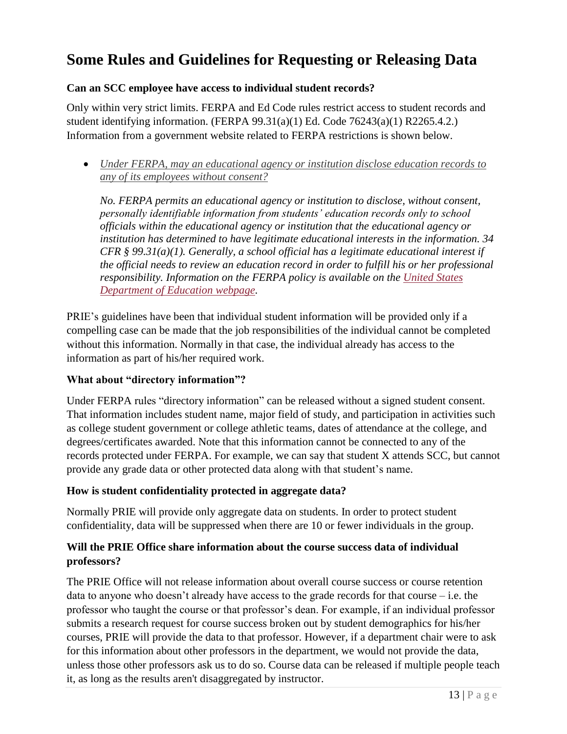### <span id="page-12-0"></span>**Some Rules and Guidelines for Requesting or Releasing Data**

#### **Can an SCC employee have access to individual student records?**

Only within very strict limits. FERPA and Ed Code rules restrict access to student records and student identifying information. (FERPA 99.31(a)(1) Ed. Code 76243(a)(1) R2265.4.2.) Information from a government website related to FERPA restrictions is shown below.

 *[Under FERPA, may an educational agency or institution disclose education records to](http://familypolicy.ed.gov/content/under-ferpa-may-educational-agency-or-institution-disclose-education-records-any-its)  [any of its employees without consent?](http://familypolicy.ed.gov/content/under-ferpa-may-educational-agency-or-institution-disclose-education-records-any-its)*

*No. FERPA permits an educational agency or institution to disclose, without consent, personally identifiable information from students' education records only to school officials within the educational agency or institution that the educational agency or institution has determined to have legitimate educational interests in the information. 34 CFR § 99.31(a)(1). Generally, a school official has a legitimate educational interest if the official needs to review an education record in order to fulfill his or her professional responsibility. Information on the FERPA policy is available on the [United States](http://familypolicy.ed.gov/faq-page/13#t70n420)  [Department of Education webpage.](http://familypolicy.ed.gov/faq-page/13#t70n420)* 

PRIE's guidelines have been that individual student information will be provided only if a compelling case can be made that the job responsibilities of the individual cannot be completed without this information. Normally in that case, the individual already has access to the information as part of his/her required work.

#### **What about "directory information"?**

Under FERPA rules "directory information" can be released without a signed student consent. That information includes student name, major field of study, and participation in activities such as college student government or college athletic teams, dates of attendance at the college, and degrees/certificates awarded. Note that this information cannot be connected to any of the records protected under FERPA. For example, we can say that student X attends SCC, but cannot provide any grade data or other protected data along with that student's name.

#### **How is student confidentiality protected in aggregate data?**

Normally PRIE will provide only aggregate data on students. In order to protect student confidentiality, data will be suppressed when there are 10 or fewer individuals in the group.

#### **Will the PRIE Office share information about the course success data of individual professors?**

The PRIE Office will not release information about overall course success or course retention data to anyone who doesn't already have access to the grade records for that course – i.e. the professor who taught the course or that professor's dean. For example, if an individual professor submits a research request for course success broken out by student demographics for his/her courses, PRIE will provide the data to that professor. However, if a department chair were to ask for this information about other professors in the department, we would not provide the data, unless those other professors ask us to do so. Course data can be released if multiple people teach it, as long as the results aren't disaggregated by instructor.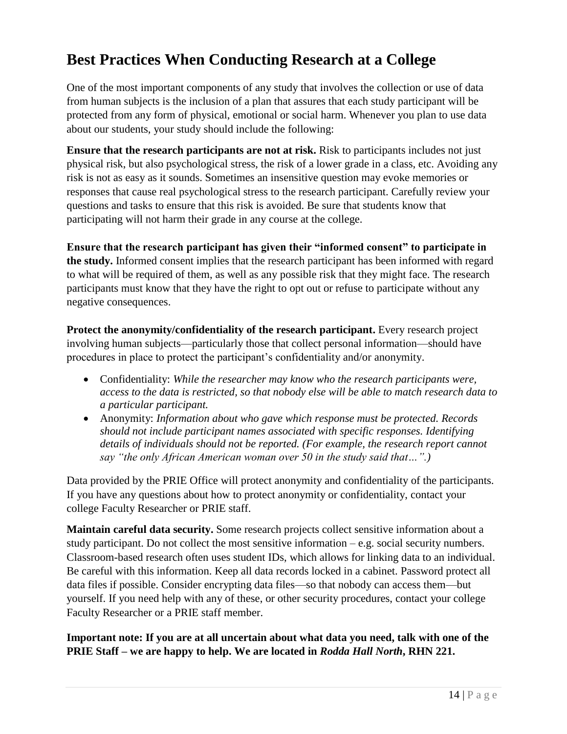### <span id="page-13-0"></span>**Best Practices When Conducting Research at a College**

One of the most important components of any study that involves the collection or use of data from human subjects is the inclusion of a plan that assures that each study participant will be protected from any form of physical, emotional or social harm. Whenever you plan to use data about our students, your study should include the following:

**Ensure that the research participants are not at risk.** Risk to participants includes not just physical risk, but also psychological stress, the risk of a lower grade in a class, etc. Avoiding any risk is not as easy as it sounds. Sometimes an insensitive question may evoke memories or responses that cause real psychological stress to the research participant. Carefully review your questions and tasks to ensure that this risk is avoided. Be sure that students know that participating will not harm their grade in any course at the college.

**Ensure that the research participant has given their "informed consent" to participate in the study.** Informed consent implies that the research participant has been informed with regard to what will be required of them, as well as any possible risk that they might face. The research participants must know that they have the right to opt out or refuse to participate without any negative consequences.

**Protect the anonymity/confidentiality of the research participant.** Every research project involving human subjects—particularly those that collect personal information—should have procedures in place to protect the participant's confidentiality and/or anonymity.

- Confidentiality: *While the researcher may know who the research participants were, access to the data is restricted, so that nobody else will be able to match research data to a particular participant.*
- Anonymity: *Information about who gave which response must be protected. Records should not include participant names associated with specific responses. Identifying details of individuals should not be reported. (For example, the research report cannot say "the only African American woman over 50 in the study said that…".)*

Data provided by the PRIE Office will protect anonymity and confidentiality of the participants. If you have any questions about how to protect anonymity or confidentiality, contact your college Faculty Researcher or PRIE staff.

**Maintain careful data security.** Some research projects collect sensitive information about a study participant. Do not collect the most sensitive information – e.g. social security numbers. Classroom-based research often uses student IDs, which allows for linking data to an individual. Be careful with this information. Keep all data records locked in a cabinet. Password protect all data files if possible. Consider encrypting data files—so that nobody can access them—but yourself. If you need help with any of these, or other security procedures, contact your college Faculty Researcher or a PRIE staff member.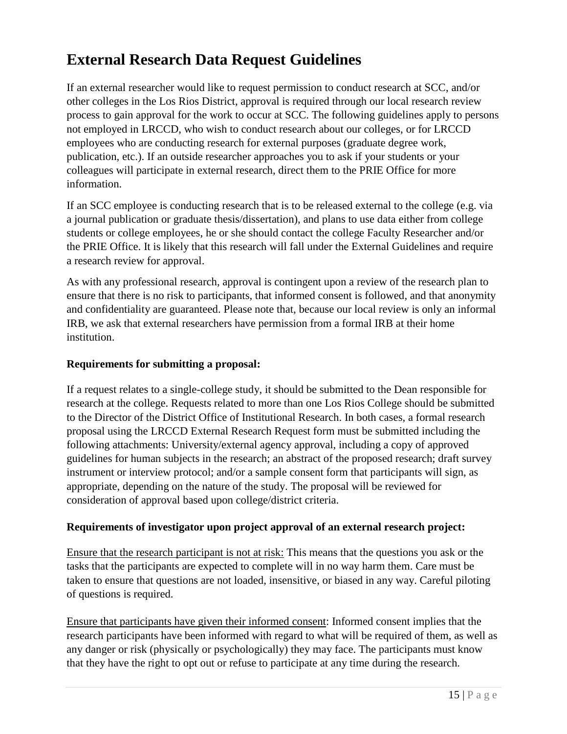# <span id="page-14-0"></span>**External Research Data Request Guidelines**

If an external researcher would like to request permission to conduct research at SCC, and/or other colleges in the Los Rios District, approval is required through our local research review process to gain approval for the work to occur at SCC. The following guidelines apply to persons not employed in LRCCD, who wish to conduct research about our colleges, or for LRCCD employees who are conducting research for external purposes (graduate degree work, publication, etc.). If an outside researcher approaches you to ask if your students or your colleagues will participate in external research, direct them to the PRIE Office for more information.

If an SCC employee is conducting research that is to be released external to the college (e.g. via a journal publication or graduate thesis/dissertation), and plans to use data either from college students or college employees, he or she should contact the college Faculty Researcher and/or the PRIE Office. It is likely that this research will fall under the External Guidelines and require a research review for approval.

As with any professional research, approval is contingent upon a review of the research plan to ensure that there is no risk to participants, that informed consent is followed, and that anonymity and confidentiality are guaranteed. Please note that, because our local review is only an informal IRB, we ask that external researchers have permission from a formal IRB at their home institution.

#### <span id="page-14-1"></span>**Requirements for submitting a proposal:**

If a request relates to a single-college study, it should be submitted to the Dean responsible for research at the college. Requests related to more than one Los Rios College should be submitted to the Director of the District Office of Institutional Research. In both cases, a formal research proposal using the LRCCD External Research Request form must be submitted including the following attachments: University/external agency approval, including a copy of approved guidelines for human subjects in the research; an abstract of the proposed research; draft survey instrument or interview protocol; and/or a sample consent form that participants will sign, as appropriate, depending on the nature of the study. The proposal will be reviewed for consideration of approval based upon college/district criteria.

#### <span id="page-14-2"></span>**Requirements of investigator upon project approval of an external research project:**

Ensure that the research participant is not at risk: This means that the questions you ask or the tasks that the participants are expected to complete will in no way harm them. Care must be taken to ensure that questions are not loaded, insensitive, or biased in any way. Careful piloting of questions is required.

Ensure that participants have given their informed consent: Informed consent implies that the research participants have been informed with regard to what will be required of them, as well as any danger or risk (physically or psychologically) they may face. The participants must know that they have the right to opt out or refuse to participate at any time during the research.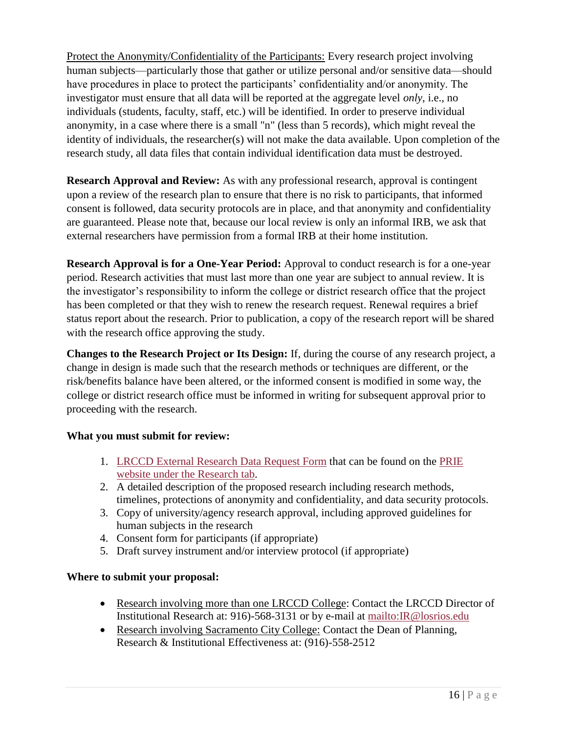Protect the Anonymity/Confidentiality of the Participants: Every research project involving human subjects—particularly those that gather or utilize personal and/or sensitive data—should have procedures in place to protect the participants' confidentiality and/or anonymity. The investigator must ensure that all data will be reported at the aggregate level *only*, i.e., no individuals (students, faculty, staff, etc.) will be identified. In order to preserve individual anonymity, in a case where there is a small "n" (less than 5 records), which might reveal the identity of individuals, the researcher(s) will not make the data available. Upon completion of the research study, all data files that contain individual identification data must be destroyed.

**Research Approval and Review:** As with any professional research, approval is contingent upon a review of the research plan to ensure that there is no risk to participants, that informed consent is followed, data security protocols are in place, and that anonymity and confidentiality are guaranteed. Please note that, because our local review is only an informal IRB, we ask that external researchers have permission from a formal IRB at their home institution.

**Research Approval is for a One-Year Period:** Approval to conduct research is for a one-year period. Research activities that must last more than one year are subject to annual review. It is the investigator's responsibility to inform the college or district research office that the project has been completed or that they wish to renew the research request. Renewal requires a brief status report about the research. Prior to publication, a copy of the research report will be shared with the research office approving the study.

**Changes to the Research Project or Its Design:** If, during the course of any research project, a change in design is made such that the research methods or techniques are different, or the risk/benefits balance have been altered, or the informed consent is modified in some way, the college or district research office must be informed in writing for subsequent approval prior to proceeding with the research.

#### <span id="page-15-0"></span>**What you must submit for review:**

- 1. [LRCCD External Research Data Request Form](https://dms.scc.losrios.edu/alfresco/d/d/workspace/SpacesStore/90bfc4a4-3692-4bb2-a7e7-c331b4775bd3/ResearchRequestForm(2-13-14).pdf) that can be found on the [PRIE](https://www.scc.losrios.edu/prie/research/conducting-research-scc/)  [website under the Research tab.](https://www.scc.losrios.edu/prie/research/conducting-research-scc/)
- 2. A detailed description of the proposed research including research methods, timelines, protections of anonymity and confidentiality, and data security protocols.
- 3. Copy of university/agency research approval, including approved guidelines for human subjects in the research
- 4. Consent form for participants (if appropriate)
- 5. Draft survey instrument and/or interview protocol (if appropriate)

#### <span id="page-15-1"></span>**Where to submit your proposal:**

- Research involving more than one LRCCD College: Contact the LRCCD Director of Institutional Research at: 916)-568-3131 or by e-mail at<mailto:IR@losrios.edu>
- Research involving Sacramento City College: Contact the Dean of Planning, Research & Institutional Effectiveness at: (916)-558-2512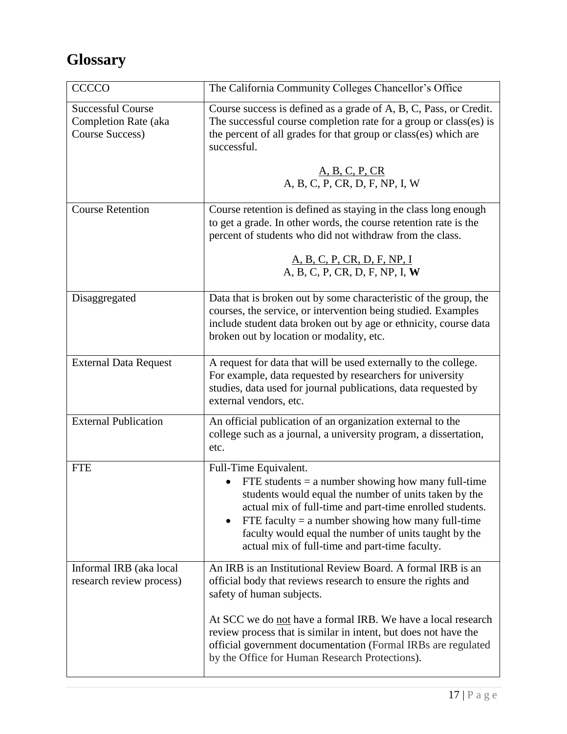# <span id="page-16-0"></span>**Glossary**

| <b>CCCCO</b>                                                                      | The California Community Colleges Chancellor's Office                                                                                                                                                                                                                                                                                                                             |
|-----------------------------------------------------------------------------------|-----------------------------------------------------------------------------------------------------------------------------------------------------------------------------------------------------------------------------------------------------------------------------------------------------------------------------------------------------------------------------------|
| <b>Successful Course</b><br><b>Completion Rate (aka</b><br><b>Course Success)</b> | Course success is defined as a grade of A, B, C, Pass, or Credit.<br>The successful course completion rate for a group or class(es) is<br>the percent of all grades for that group or class(es) which are<br>successful.                                                                                                                                                          |
|                                                                                   | A, B, C, P, CR<br>A, B, C, P, CR, D, F, NP, I, W                                                                                                                                                                                                                                                                                                                                  |
| <b>Course Retention</b>                                                           | Course retention is defined as staying in the class long enough<br>to get a grade. In other words, the course retention rate is the<br>percent of students who did not withdraw from the class.<br><u>A, B, C, P, CR, D, F, NP, I</u><br>A, B, C, P, CR, D, F, NP, I, W                                                                                                           |
| Disaggregated                                                                     | Data that is broken out by some characteristic of the group, the<br>courses, the service, or intervention being studied. Examples<br>include student data broken out by age or ethnicity, course data<br>broken out by location or modality, etc.                                                                                                                                 |
|                                                                                   |                                                                                                                                                                                                                                                                                                                                                                                   |
| <b>External Data Request</b>                                                      | A request for data that will be used externally to the college.<br>For example, data requested by researchers for university<br>studies, data used for journal publications, data requested by<br>external vendors, etc.                                                                                                                                                          |
| <b>External Publication</b>                                                       | An official publication of an organization external to the<br>college such as a journal, a university program, a dissertation,<br>etc.                                                                                                                                                                                                                                            |
| <b>FTE</b>                                                                        | Full-Time Equivalent.<br>FTE students $=$ a number showing how many full-time<br>students would equal the number of units taken by the<br>actual mix of full-time and part-time enrolled students.<br>FTE faculty $=$ a number showing how many full-time<br>$\bullet$<br>faculty would equal the number of units taught by the<br>actual mix of full-time and part-time faculty. |
| Informal IRB (aka local<br>research review process)                               | An IRB is an Institutional Review Board. A formal IRB is an<br>official body that reviews research to ensure the rights and<br>safety of human subjects.                                                                                                                                                                                                                          |
|                                                                                   | At SCC we do not have a formal IRB. We have a local research<br>review process that is similar in intent, but does not have the<br>official government documentation (Formal IRBs are regulated<br>by the Office for Human Research Protections).                                                                                                                                 |